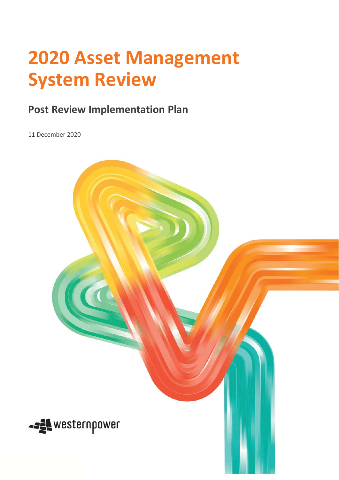# **2020 Asset Management System Review**

## **Post Review Implementation Plan**

11 December 2020

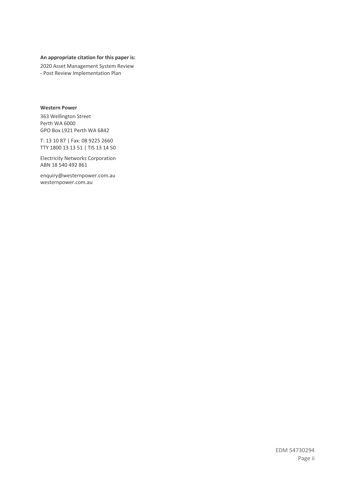#### **An appropriate citation for this paper is:**

2020 Asset Management System Review ‐ Post Review Implementation Plan

#### **Western Power**

363 Wellington Street Perth WA 6000 GPO Box L921 Perth WA 6842

T: 13 10 87 | Fax: 08 9225 2660 TTY 1800 13 13 51 | TIS 13 14 50

Electricity Networks Corporation ABN 18 540 492 861

enquiry@westernpower.com.au westernpower.com.au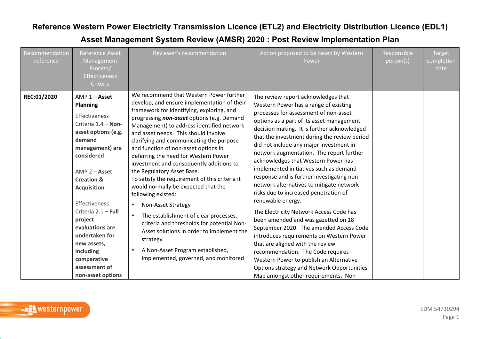### **Reference Western Power Electricity Transmission Licence (ETL2) and Electricity Distribution Licence (EDL1) Asset Management System Review (AMSR) 2020 : Post Review Implementation Plan**

| Recommendation<br>reference | Reference Asset<br>Management<br>Process/<br><b>Effectiveness</b><br>Criteria                                                                                                                                                                                                                                                                                                                         | Reviewer's recommendation                                                                                                                                                                                                                                                                                                                                                                                                                                                                                                                                                                                                                                                                                                                                                                                                                                               | Action proposed to be taken by Western<br>Power                                                                                                                                                                                                                                                                                                                                                                                                                                                                                                                                                                                                                                                                                                                                                                                                                                                                                                                                      | Responsible<br>person(s) | Target<br>completion<br>date |
|-----------------------------|-------------------------------------------------------------------------------------------------------------------------------------------------------------------------------------------------------------------------------------------------------------------------------------------------------------------------------------------------------------------------------------------------------|-------------------------------------------------------------------------------------------------------------------------------------------------------------------------------------------------------------------------------------------------------------------------------------------------------------------------------------------------------------------------------------------------------------------------------------------------------------------------------------------------------------------------------------------------------------------------------------------------------------------------------------------------------------------------------------------------------------------------------------------------------------------------------------------------------------------------------------------------------------------------|--------------------------------------------------------------------------------------------------------------------------------------------------------------------------------------------------------------------------------------------------------------------------------------------------------------------------------------------------------------------------------------------------------------------------------------------------------------------------------------------------------------------------------------------------------------------------------------------------------------------------------------------------------------------------------------------------------------------------------------------------------------------------------------------------------------------------------------------------------------------------------------------------------------------------------------------------------------------------------------|--------------------------|------------------------------|
| REC:01/2020                 | $AMP 1 - Asset$<br><b>Planning</b><br><b>Effectiveness</b><br>Criteria 1.4 - Non-<br>asset options (e.g.<br>demand<br>management) are<br>considered<br>$AMP 2 - Asset$<br><b>Creation &amp;</b><br><b>Acquisition</b><br><b>Effectiveness</b><br>Criteria 2.1 - Full<br>project<br>evaluations are<br>undertaken for<br>new assets,<br>including<br>comparative<br>assessment of<br>non-asset options | We recommend that Western Power further<br>develop, and ensure implementation of their<br>framework for identifying, exploring, and<br>progressing non-asset options (e.g. Demand<br>Management) to address identified network<br>and asset needs. This should involve<br>clarifying and communicating the purpose<br>and function of non-asset options in<br>deferring the need for Western Power<br>investment and consequently additions to<br>the Regulatory Asset Base.<br>To satisfy the requirement of this criteria it<br>would normally be expected that the<br>following existed:<br>Non-Asset Strategy<br>$\bullet$<br>The establishment of clear processes,<br>$\bullet$<br>criteria and thresholds for potential Non-<br>Asset solutions in order to implement the<br>strategy<br>A Non-Asset Program established,<br>implemented, governed, and monitored | The review report acknowledges that<br>Western Power has a range of existing<br>processes for assessment of non-asset<br>options as a part of its asset management<br>decision making. It is further acknowledged<br>that the investment during the review period<br>did not include any major investment in<br>network augmentation. The report further<br>acknowledges that Western Power has<br>implemented initiatives such as demand<br>response and is further investigating non-<br>network alternatives to mitigate network<br>risks due to increased penetration of<br>renewable energy.<br>The Electricity Network Access Code has<br>been amended and was gazetted on 18<br>September 2020. The amended Access Code<br>introduces requirements on Western Power<br>that are aligned with the review<br>recommendation. The Code requires<br>Western Power to publish an Alternative<br>Options strategy and Network Opportunities<br>Map amongst other requirements. Non- |                          |                              |

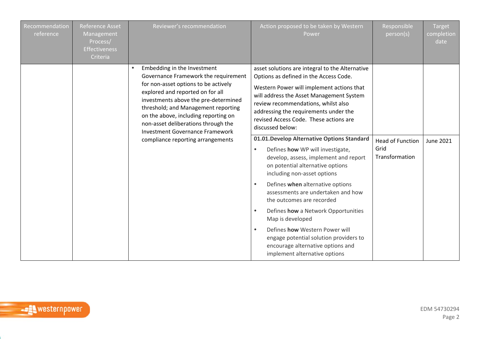| Recommendation<br>reference | <b>Reference Asset</b><br>Management<br>Process/<br><b>Effectiveness</b><br>Criteria | Reviewer's recommendation                                                                                                                                                                                                                                                                                                                                                                                 | Action proposed to be taken by Western<br>Power                                                                                                                                                                                                                                                                                                                                                                                                                                                                                                                                                                                                                                                                                                                                                                                                                                                         | Responsible<br>person(s)                          | Target<br>completion<br>date |
|-----------------------------|--------------------------------------------------------------------------------------|-----------------------------------------------------------------------------------------------------------------------------------------------------------------------------------------------------------------------------------------------------------------------------------------------------------------------------------------------------------------------------------------------------------|---------------------------------------------------------------------------------------------------------------------------------------------------------------------------------------------------------------------------------------------------------------------------------------------------------------------------------------------------------------------------------------------------------------------------------------------------------------------------------------------------------------------------------------------------------------------------------------------------------------------------------------------------------------------------------------------------------------------------------------------------------------------------------------------------------------------------------------------------------------------------------------------------------|---------------------------------------------------|------------------------------|
|                             |                                                                                      | Embedding in the Investment<br>$\bullet$<br>Governance Framework the requirement<br>for non-asset options to be actively<br>explored and reported on for all<br>investments above the pre-determined<br>threshold; and Management reporting<br>on the above, including reporting on<br>non-asset deliberations through the<br><b>Investment Governance Framework</b><br>compliance reporting arrangements | asset solutions are integral to the Alternative<br>Options as defined in the Access Code.<br>Western Power will implement actions that<br>will address the Asset Management System<br>review recommendations, whilst also<br>addressing the requirements under the<br>revised Access Code. These actions are<br>discussed below:<br>01.01. Develop Alternative Options Standard<br>Defines how WP will investigate,<br>$\bullet$<br>develop, assess, implement and report<br>on potential alternative options<br>including non-asset options<br>Defines when alternative options<br>$\bullet$<br>assessments are undertaken and how<br>the outcomes are recorded<br>Defines how a Network Opportunities<br>$\bullet$<br>Map is developed<br>Defines how Western Power will<br>$\bullet$<br>engage potential solution providers to<br>encourage alternative options and<br>implement alternative options | <b>Head of Function</b><br>Grid<br>Transformation | <b>June 2021</b>             |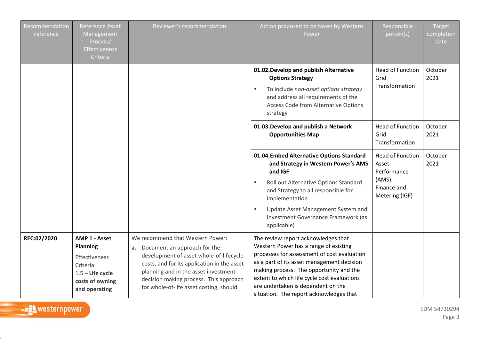| Recommendation<br>reference | Reference Asset<br>Management<br>Process/<br><b>Effectiveness</b><br>Criteria                                            | Reviewer's recommendation                                                                                                                                                                                                                                                                     | Action proposed to be taken by Western<br>Power                                                                                                                                                                                                                                                                                                      | Responsible<br>person(s)                                                                  | <b>Target</b><br>completion<br>date |
|-----------------------------|--------------------------------------------------------------------------------------------------------------------------|-----------------------------------------------------------------------------------------------------------------------------------------------------------------------------------------------------------------------------------------------------------------------------------------------|------------------------------------------------------------------------------------------------------------------------------------------------------------------------------------------------------------------------------------------------------------------------------------------------------------------------------------------------------|-------------------------------------------------------------------------------------------|-------------------------------------|
|                             |                                                                                                                          |                                                                                                                                                                                                                                                                                               | 01.02. Develop and publish Alternative<br><b>Options Strategy</b><br>To include non-asset options strategy<br>$\bullet$<br>and address all requirements of the<br>Access Code from Alternative Options<br>strategy                                                                                                                                   | <b>Head of Function</b><br>Grid<br>Transformation                                         | October<br>2021                     |
|                             |                                                                                                                          |                                                                                                                                                                                                                                                                                               | 01.03. Develop and publish a Network<br><b>Opportunities Map</b>                                                                                                                                                                                                                                                                                     | <b>Head of Function</b><br>Grid<br>Transformation                                         | October<br>2021                     |
|                             |                                                                                                                          |                                                                                                                                                                                                                                                                                               | 01.04. Embed Alternative Options Standard<br>and Strategy in Western Power's AMS<br>and IGF<br>Roll out Alternative Options Standard<br>and Strategy to all responsible for<br>implementation<br>Update Asset Management System and<br>Investment Governance Framework (as<br>applicable)                                                            | <b>Head of Function</b><br>Asset<br>Performance<br>(AMS)<br>Finance and<br>Metering (IGF) | October<br>2021                     |
| REC:02/2020                 | AMP 1 - Asset<br><b>Planning</b><br>Effectiveness<br>Criteria:<br>$1.5$ – Life cycle<br>costs of owning<br>and operating | We recommend that Western Power:<br>Document an approach for the<br>a.<br>development of asset whole-of-lifecycle<br>costs, and for its application in the asset<br>planning and in the asset investment<br>decision making process. This approach<br>for whole-of-life asset costing, should | The review report acknowledges that<br>Western Power has a range of existing<br>processes for assessment of cost evaluation<br>as a part of its asset management decision<br>making process. The opportunity and the<br>extent to which life cycle cost evaluations<br>are undertaken is dependent on the<br>situation. The report acknowledges that |                                                                                           |                                     |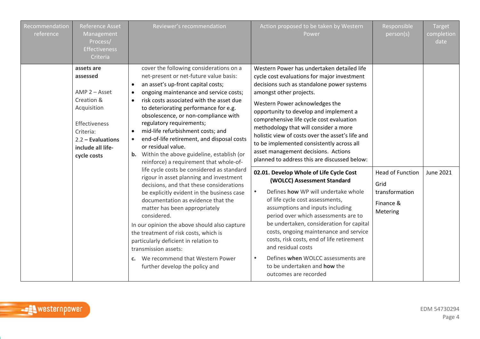| Recommendation<br>reference | Reference Asset<br>Management<br>Process/<br><b>Effectiveness</b><br>Criteria                                                                                   | Reviewer's recommendation                                                                                                                                                                                                                                                                                                                                                                                                                                                                                                                                                                                                                                                                                                                                                                                                                                                                                                                                                                                                                                                                      | Action proposed to be taken by Western<br>Power                                                                                                                                                                                                                                                                                                                                                                                                                                                                                                                                                                                                                                                                                                                                                                                                                                                                                                                                                                                               | Responsible<br>person(s)                                                   | <b>Target</b><br>completion<br>date |
|-----------------------------|-----------------------------------------------------------------------------------------------------------------------------------------------------------------|------------------------------------------------------------------------------------------------------------------------------------------------------------------------------------------------------------------------------------------------------------------------------------------------------------------------------------------------------------------------------------------------------------------------------------------------------------------------------------------------------------------------------------------------------------------------------------------------------------------------------------------------------------------------------------------------------------------------------------------------------------------------------------------------------------------------------------------------------------------------------------------------------------------------------------------------------------------------------------------------------------------------------------------------------------------------------------------------|-----------------------------------------------------------------------------------------------------------------------------------------------------------------------------------------------------------------------------------------------------------------------------------------------------------------------------------------------------------------------------------------------------------------------------------------------------------------------------------------------------------------------------------------------------------------------------------------------------------------------------------------------------------------------------------------------------------------------------------------------------------------------------------------------------------------------------------------------------------------------------------------------------------------------------------------------------------------------------------------------------------------------------------------------|----------------------------------------------------------------------------|-------------------------------------|
|                             | assets are<br>assessed<br>$AMP 2 - Asset$<br>Creation &<br>Acquisition<br>Effectiveness<br>Criteria:<br>$2.2$ – Evaluations<br>include all life-<br>cycle costs | cover the following considerations on a<br>net-present or net-future value basis:<br>an asset's up-front capital costs;<br>ongoing maintenance and service costs;<br>$\bullet$<br>risk costs associated with the asset due<br>$\bullet$<br>to deteriorating performance for e.g.<br>obsolescence, or non-compliance with<br>regulatory requirements;<br>mid-life refurbishment costs; and<br>$\bullet$<br>end-of-life retirement, and disposal costs<br>or residual value.<br>Within the above guideline, establish (or<br>$\mathbf b$ .<br>reinforce) a requirement that whole-of-<br>life cycle costs be considered as standard<br>rigour in asset planning and investment<br>decisions, and that these considerations<br>be explicitly evident in the business case<br>documentation as evidence that the<br>matter has been appropriately<br>considered.<br>In our opinion the above should also capture<br>the treatment of risk costs, which is<br>particularly deficient in relation to<br>transmission assets:<br>c. We recommend that Western Power<br>further develop the policy and | Western Power has undertaken detailed life<br>cycle cost evaluations for major investment<br>decisions such as standalone power systems<br>amongst other projects.<br>Western Power acknowledges the<br>opportunity to develop and implement a<br>comprehensive life cycle cost evaluation<br>methodology that will consider a more<br>holistic view of costs over the asset's life and<br>to be implemented consistently across all<br>asset management decisions. Actions<br>planned to address this are discussed below:<br>02.01. Develop Whole of Life Cycle Cost<br>(WOLCC) Assessment Standard<br>Defines how WP will undertake whole<br>$\bullet$<br>of life cycle cost assessments,<br>assumptions and inputs including<br>period over which assessments are to<br>be undertaken, consideration for capital<br>costs, ongoing maintenance and service<br>costs, risk costs, end of life retirement<br>and residual costs<br>Defines when WOLCC assessments are<br>$\bullet$<br>to be undertaken and how the<br>outcomes are recorded | <b>Head of Function</b><br>Grid<br>transformation<br>Finance &<br>Metering | June 2021                           |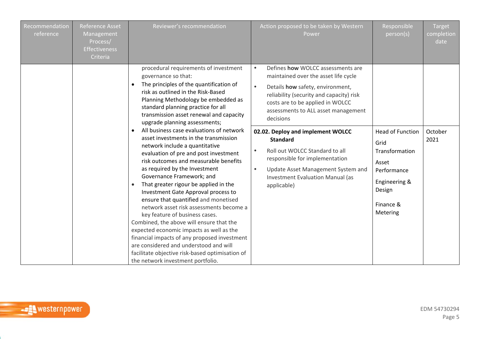| Recommendation<br>reference | <b>Reference Asset</b><br>Management<br>Process/<br>Effectiveness<br>Criteria | Reviewer's recommendation                                                                                                                                                                                                                                                                                                                                                                                                                                                                                                                                                                                                                                                                                                                                                                                                                                                                                                                                                                                                                                                 | Action proposed to be taken by Western<br>Power                                                                                                                                                                                                                                                                                                                                                                                                                                                                                   | Responsible<br>person(s)                                                                                                      | <b>Target</b><br>completion<br>date |
|-----------------------------|-------------------------------------------------------------------------------|---------------------------------------------------------------------------------------------------------------------------------------------------------------------------------------------------------------------------------------------------------------------------------------------------------------------------------------------------------------------------------------------------------------------------------------------------------------------------------------------------------------------------------------------------------------------------------------------------------------------------------------------------------------------------------------------------------------------------------------------------------------------------------------------------------------------------------------------------------------------------------------------------------------------------------------------------------------------------------------------------------------------------------------------------------------------------|-----------------------------------------------------------------------------------------------------------------------------------------------------------------------------------------------------------------------------------------------------------------------------------------------------------------------------------------------------------------------------------------------------------------------------------------------------------------------------------------------------------------------------------|-------------------------------------------------------------------------------------------------------------------------------|-------------------------------------|
|                             |                                                                               | procedural requirements of investment<br>governance so that:<br>The principles of the quantification of<br>$\bullet$<br>risk as outlined in the Risk-Based<br>Planning Methodology be embedded as<br>standard planning practice for all<br>transmission asset renewal and capacity<br>upgrade planning assessments;<br>All business case evaluations of network<br>asset investments in the transmission<br>network include a quantitative<br>evaluation of pre and post investment<br>risk outcomes and measurable benefits<br>as required by the Investment<br>Governance Framework; and<br>That greater rigour be applied in the<br>Investment Gate Approval process to<br>ensure that quantified and monetised<br>network asset risk assessments become a<br>key feature of business cases.<br>Combined, the above will ensure that the<br>expected economic impacts as well as the<br>financial impacts of any proposed investment<br>are considered and understood and will<br>facilitate objective risk-based optimisation of<br>the network investment portfolio. | Defines how WOLCC assessments are<br>$\bullet$<br>maintained over the asset life cycle<br>Details how safety, environment,<br>$\bullet$<br>reliability (security and capacity) risk<br>costs are to be applied in WOLCC<br>assessments to ALL asset management<br>decisions<br>02.02. Deploy and implement WOLCC<br><b>Standard</b><br>Roll out WOLCC Standard to all<br>$\bullet$<br>responsible for implementation<br>Update Asset Management System and<br>$\bullet$<br><b>Investment Evaluation Manual (as</b><br>applicable) | <b>Head of Function</b><br>Grid<br>Transformation<br>Asset<br>Performance<br>Engineering &<br>Design<br>Finance &<br>Metering | October<br>2021                     |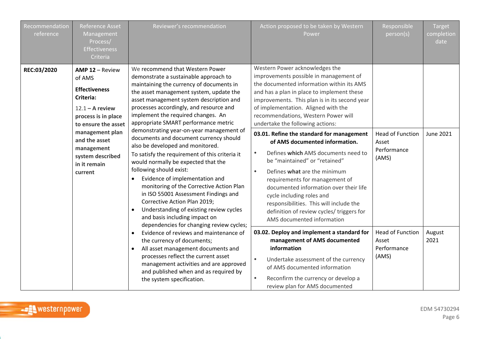| Recommendation<br>reference | Reference Asset<br>Management<br>Process/<br><b>Effectiveness</b><br>Criteria                                                                                                                                                                                                                                 | Reviewer's recommendation                                                                                                                                                                                                                                                                                                                                                                                                                                                                                                                                                                                                                                                                                                                                                                                           | Action proposed to be taken by Western<br>Power                                                                                                                                                                                                                                                                                                                                                                                                                                                                                                                                                                                                                                                                                                                                        | Responsible<br>person(s)                                 | <b>Target</b><br>completion<br>date |
|-----------------------------|---------------------------------------------------------------------------------------------------------------------------------------------------------------------------------------------------------------------------------------------------------------------------------------------------------------|---------------------------------------------------------------------------------------------------------------------------------------------------------------------------------------------------------------------------------------------------------------------------------------------------------------------------------------------------------------------------------------------------------------------------------------------------------------------------------------------------------------------------------------------------------------------------------------------------------------------------------------------------------------------------------------------------------------------------------------------------------------------------------------------------------------------|----------------------------------------------------------------------------------------------------------------------------------------------------------------------------------------------------------------------------------------------------------------------------------------------------------------------------------------------------------------------------------------------------------------------------------------------------------------------------------------------------------------------------------------------------------------------------------------------------------------------------------------------------------------------------------------------------------------------------------------------------------------------------------------|----------------------------------------------------------|-------------------------------------|
| REC:03/2020                 | $AMP 12 - Review$<br>of AMS<br><b>Effectiveness</b><br>Criteria:<br>$12.1 - A$ review<br>process is in place<br>to ensure the asset<br>management plan<br>and the asset<br>management<br>system described<br>in it remain<br>current                                                                          | We recommend that Western Power<br>demonstrate a sustainable approach to<br>maintaining the currency of documents in<br>the asset management system, update the<br>asset management system description and<br>processes accordingly, and resource and<br>implement the required changes. An<br>appropriate SMART performance metric<br>demonstrating year-on-year management of<br>documents and document currency should<br>also be developed and monitored.<br>To satisfy the requirement of this criteria it<br>would normally be expected that the<br>following should exist:<br>Evidence of implementation and<br>monitoring of the Corrective Action Plan<br>in ISO 55001 Assessment Findings and<br>Corrective Action Plan 2019;<br>Understanding of existing review cycles<br>and basis including impact on | Western Power acknowledges the<br>improvements possible in management of<br>the documented information within its AMS<br>and has a plan in place to implement these<br>improvements. This plan is in its second year<br>of implementation. Aligned with the<br>recommendations, Western Power will<br>undertake the following actions:<br>03.01. Refine the standard for management<br>of AMS documented information.<br>Defines which AMS documents need to<br>$\bullet$<br>be "maintained" or "retained"<br>Defines what are the minimum<br>$\bullet$<br>requirements for management of<br>documented information over their life<br>cycle including roles and<br>responsibilities. This will include the<br>definition of review cycles/ triggers for<br>AMS documented information | <b>Head of Function</b><br>Asset<br>Performance<br>(AMS) | <b>June 2021</b>                    |
|                             | dependencies for changing review cycles;<br>Evidence of reviews and maintenance of<br>the currency of documents;<br>All asset management documents and<br>processes reflect the current asset<br>management activities and are approved<br>and published when and as required by<br>the system specification. | 03.02. Deploy and implement a standard for<br>management of AMS documented<br>information<br>Undertake assessment of the currency<br>$\bullet$<br>of AMS documented information<br>Reconfirm the currency or develop a<br>$\bullet$<br>review plan for AMS documented                                                                                                                                                                                                                                                                                                                                                                                                                                                                                                                                               | <b>Head of Function</b><br>Asset<br>Performance<br>(AMS)                                                                                                                                                                                                                                                                                                                                                                                                                                                                                                                                                                                                                                                                                                                               | August<br>2021                                           |                                     |